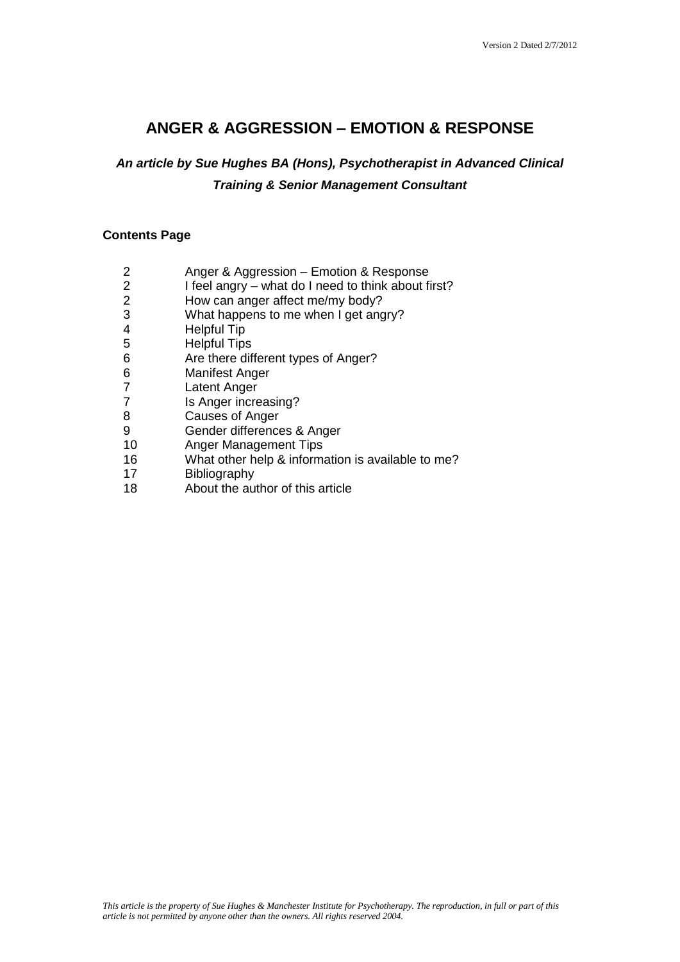# **ANGER & AGGRESSION – EMOTION & RESPONSE**

# *An article by Sue Hughes BA (Hons), Psychotherapist in Advanced Clinical Training & Senior Management Consultant*

# **Contents Page**

- 2 Anger & Aggression Emotion & Response
- 2 I feel angry what do I need to think about first?
- 2 How can anger affect me/my body?
- 3 What happens to me when I get angry?
- 
- 4 Helpful Tip<br>5 Helpful Tips 5 Helpful Tips<br>6 Are there dif
- Are there different types of Anger?
- 6 Manifest Anger
- **Latent Anger**
- 7 Is Anger increasing?
- 8 Causes of Anger
- 9 Gender differences & Anger
- 10 Anger Management Tips
- 16 What other help & information is available to me?<br>17 Bibliography
- **Bibliography**
- 18 About the author of this article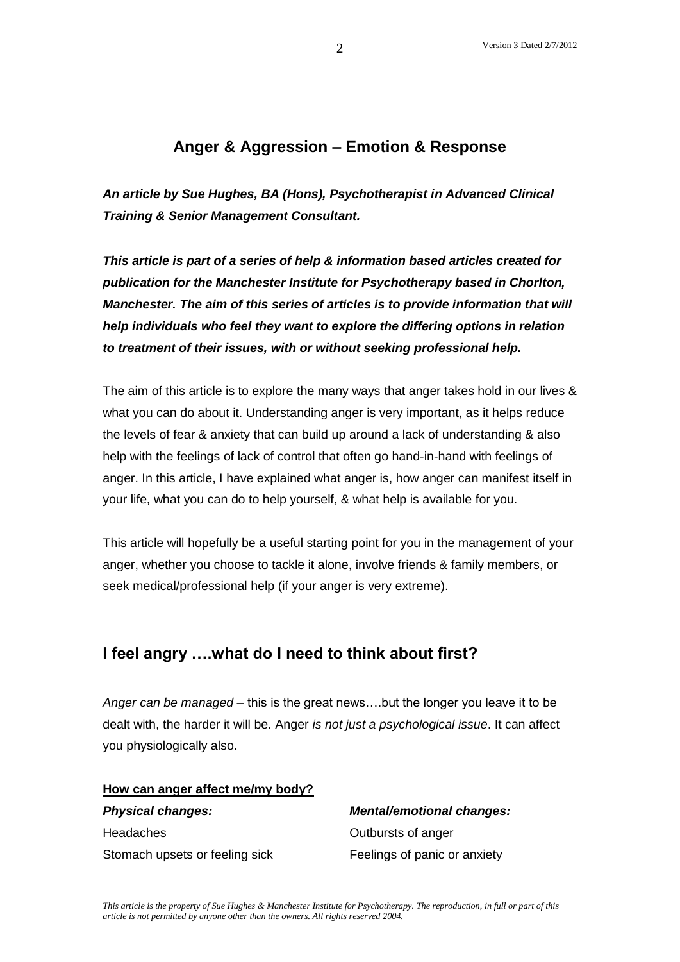# **Anger & Aggression – Emotion & Response**

*An article by Sue Hughes, BA (Hons), Psychotherapist in Advanced Clinical Training & Senior Management Consultant.* 

*This article is part of a series of help & information based articles created for publication for the Manchester Institute for Psychotherapy based in Chorlton, Manchester. The aim of this series of articles is to provide information that will help individuals who feel they want to explore the differing options in relation to treatment of their issues, with or without seeking professional help.*

The aim of this article is to explore the many ways that anger takes hold in our lives & what you can do about it. Understanding anger is very important, as it helps reduce the levels of fear & anxiety that can build up around a lack of understanding & also help with the feelings of lack of control that often go hand-in-hand with feelings of anger. In this article, I have explained what anger is, how anger can manifest itself in your life, what you can do to help yourself, & what help is available for you.

This article will hopefully be a useful starting point for you in the management of your anger, whether you choose to tackle it alone, involve friends & family members, or seek medical/professional help (if your anger is very extreme).

# **I feel angry ….what do I need to think about first?**

*Anger can be managed* – this is the great news….but the longer you leave it to be dealt with, the harder it will be. Anger *is not just a psychological issue*. It can affect you physiologically also.

# **How can anger affect me/my body?**

Headaches Outbursts of anger Stomach upsets or feeling sick Feelings of panic or anxiety

*Physical changes: Mental/emotional changes:*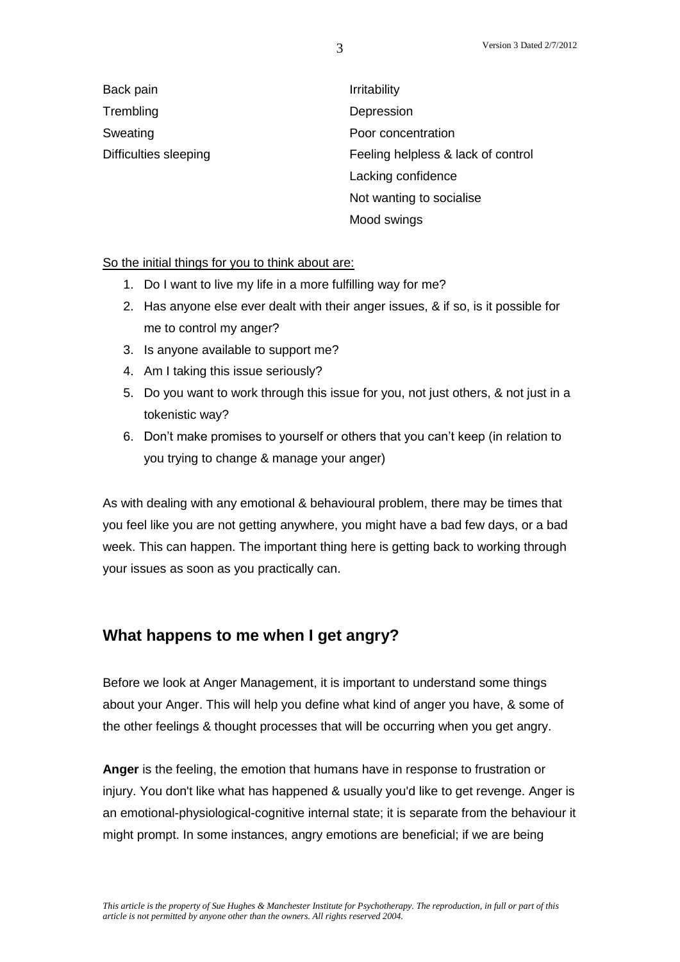Back pain **Ifter and Contract Executive** Irritability Trembling Depression

Sweating **Poor concentration** Difficulties sleeping **Feeling helpless & lack of control** Lacking confidence Not wanting to socialise Mood swings

So the initial things for you to think about are:

- 1. Do I want to live my life in a more fulfilling way for me?
- 2. Has anyone else ever dealt with their anger issues, & if so, is it possible for me to control my anger?
- 3. Is anyone available to support me?
- 4. Am I taking this issue seriously?
- 5. Do you want to work through this issue for you, not just others, & not just in a tokenistic way?
- 6. Don't make promises to yourself or others that you can't keep (in relation to you trying to change & manage your anger)

As with dealing with any emotional & behavioural problem, there may be times that you feel like you are not getting anywhere, you might have a bad few days, or a bad week. This can happen. The important thing here is getting back to working through your issues as soon as you practically can.

# **What happens to me when I get angry?**

Before we look at Anger Management, it is important to understand some things about your Anger. This will help you define what kind of anger you have, & some of the other feelings & thought processes that will be occurring when you get angry.

**Anger** is the feeling, the emotion that humans have in response to frustration or injury. You don't like what has happened & usually you'd like to get revenge. Anger is an emotional-physiological-cognitive internal state; it is separate from the behaviour it might prompt. In some instances, angry emotions are beneficial; if we are being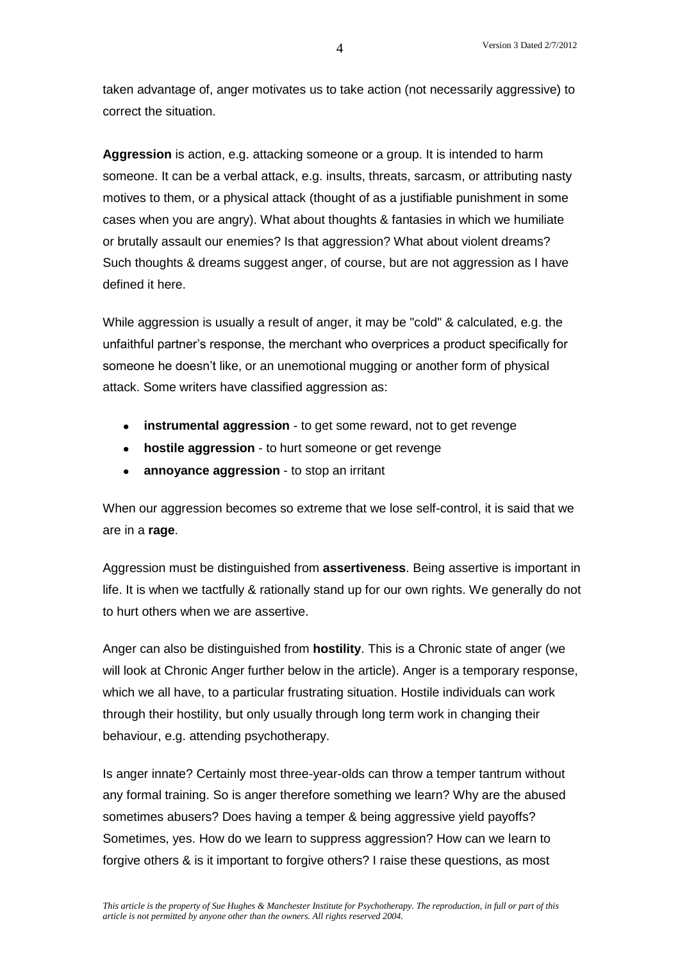taken advantage of, anger motivates us to take action (not necessarily aggressive) to correct the situation.

**Aggression** is action, e.g. attacking someone or a group. It is intended to harm someone. It can be a verbal attack, e.g. insults, threats, sarcasm, or attributing nasty motives to them, or a physical attack (thought of as a justifiable punishment in some cases when you are angry). What about thoughts & fantasies in which we humiliate or brutally assault our enemies? Is that aggression? What about violent dreams? Such thoughts & dreams suggest anger, of course, but are not aggression as I have defined it here.

While aggression is usually a result of anger, it may be "cold" & calculated, e.g. the unfaithful partner's response, the merchant who overprices a product specifically for someone he doesn't like, or an unemotional mugging or another form of physical attack. Some writers have classified aggression as:

- **instrumental aggression** to get some reward, not to get revenge
- **hostile aggression** to hurt someone or get revenge
- **annoyance aggression** to stop an irritant

When our aggression becomes so extreme that we lose self-control, it is said that we are in a **rage**.

Aggression must be distinguished from **assertiveness**. Being assertive is important in life. It is when we tactfully & rationally stand up for our own rights. We generally do not to hurt others when we are assertive.

Anger can also be distinguished from **hostility**. This is a Chronic state of anger (we will look at Chronic Anger further below in the article). Anger is a temporary response, which we all have, to a particular frustrating situation. Hostile individuals can work through their hostility, but only usually through long term work in changing their behaviour, e.g. attending psychotherapy.

Is anger innate? Certainly most three-year-olds can throw a temper tantrum without any formal training. So is anger therefore something we learn? Why are the abused sometimes abusers? Does having a temper & being aggressive yield payoffs? Sometimes, yes. How do we learn to suppress aggression? How can we learn to forgive others & is it important to forgive others? I raise these questions, as most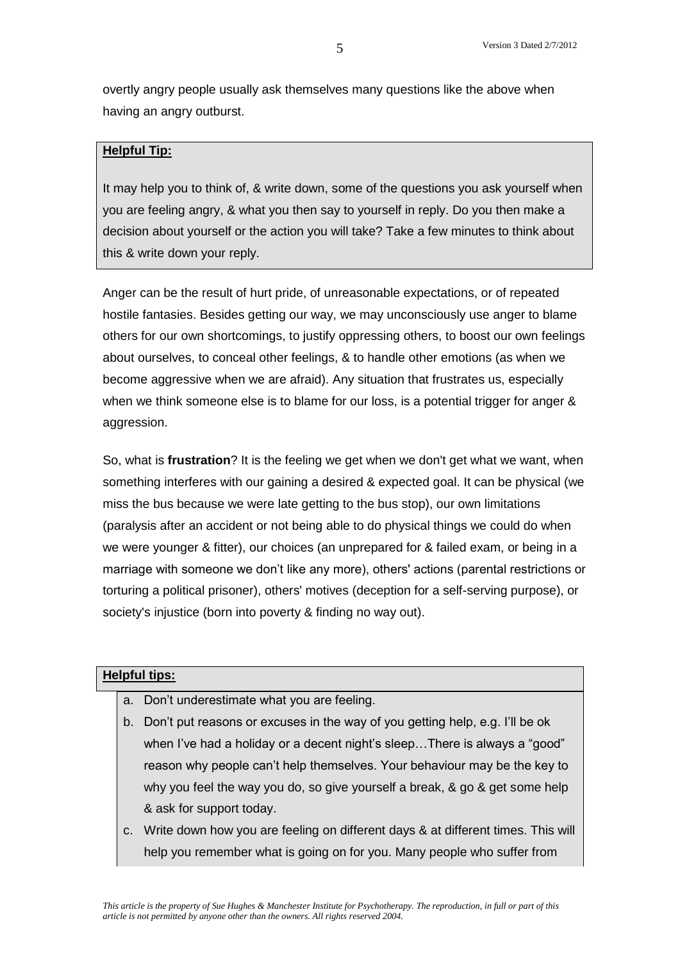overtly angry people usually ask themselves many questions like the above when having an angry outburst.

### **Helpful Tip:**

It may help you to think of, & write down, some of the questions you ask yourself when you are feeling angry, & what you then say to yourself in reply. Do you then make a decision about yourself or the action you will take? Take a few minutes to think about this & write down your reply.

Anger can be the result of hurt pride, of unreasonable expectations, or of repeated hostile fantasies. Besides getting our way, we may unconsciously use anger to blame others for our own shortcomings, to justify oppressing others, to boost our own feelings about ourselves, to conceal other feelings, & to handle other emotions (as when we become aggressive when we are afraid). Any situation that frustrates us, especially when we think someone else is to blame for our loss, is a potential trigger for anger & aggression.

So, what is **frustration**? It is the feeling we get when we don't get what we want, when something interferes with our gaining a desired & expected goal. It can be physical (we miss the bus because we were late getting to the bus stop), our own limitations (paralysis after an accident or not being able to do physical things we could do when we were younger & fitter), our choices (an unprepared for & failed exam, or being in a marriage with someone we don't like any more), others' actions (parental restrictions or torturing a political prisoner), others' motives (deception for a self-serving purpose), or society's injustice (born into poverty & finding no way out).

#### **Helpful tips:**

- a. Don't underestimate what you are feeling.
- b. Don't put reasons or excuses in the way of you getting help, e.g. I'll be ok when I've had a holiday or a decent night's sleep... There is always a "good" reason why people can't help themselves. Your behaviour may be the key to why you feel the way you do, so give yourself a break, & go & get some help & ask for support today.
- c. Write down how you are feeling on different days & at different times. This will help you remember what is going on for you. Many people who suffer from

5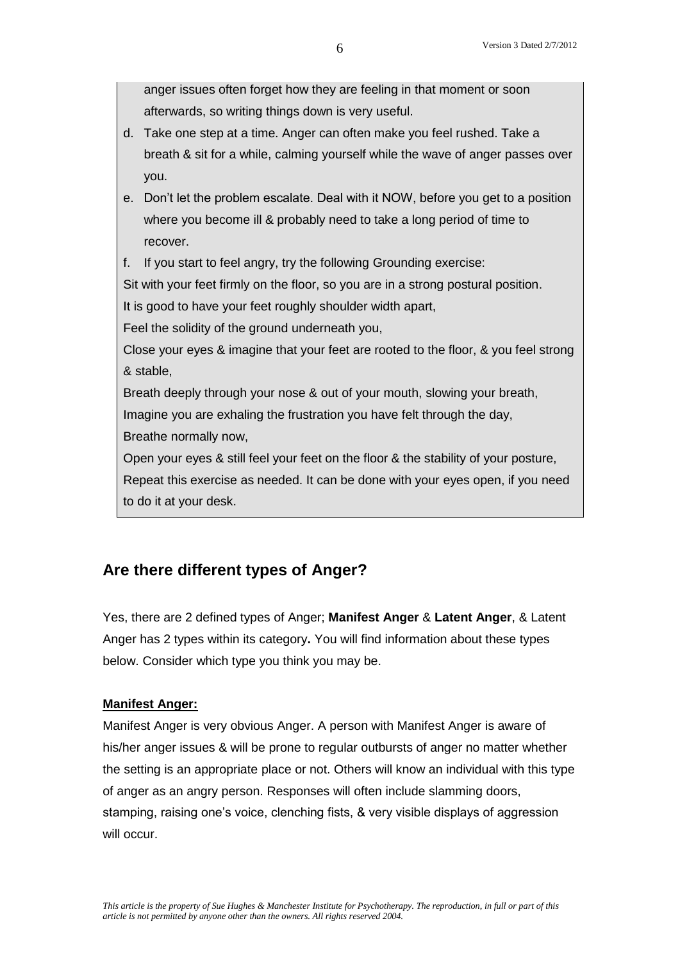6

anger issues often forget how they are feeling in that moment or soon

afterwards, so writing things down is very useful. d. Take one step at a time. Anger can often make you feel rushed. Take a breath & sit for a while, calming yourself while the wave of anger passes over you. e. Don't let the problem escalate. Deal with it NOW, before you get to a position where you become ill & probably need to take a long period of time to recover. f. If you start to feel angry, try the following Grounding exercise: Sit with your feet firmly on the floor, so you are in a strong postural position. It is good to have your feet roughly shoulder width apart, Feel the solidity of the ground underneath you,

Close your eyes & imagine that your feet are rooted to the floor, & you feel strong & stable,

Breath deeply through your nose & out of your mouth, slowing your breath, Imagine you are exhaling the frustration you have felt through the day, Breathe normally now,

Open your eyes & still feel your feet on the floor & the stability of your posture, Repeat this exercise as needed. It can be done with your eyes open, if you need to do it at your desk.

# **Are there different types of Anger?**

Yes, there are 2 defined types of Anger; **Manifest Anger** & **Latent Anger**, & Latent Anger has 2 types within its category**.** You will find information about these types below. Consider which type you think you may be.

# **Manifest Anger:**

Manifest Anger is very obvious Anger. A person with Manifest Anger is aware of his/her anger issues & will be prone to regular outbursts of anger no matter whether the setting is an appropriate place or not. Others will know an individual with this type of anger as an angry person. Responses will often include slamming doors, stamping, raising one's voice, clenching fists, & very visible displays of aggression will occur.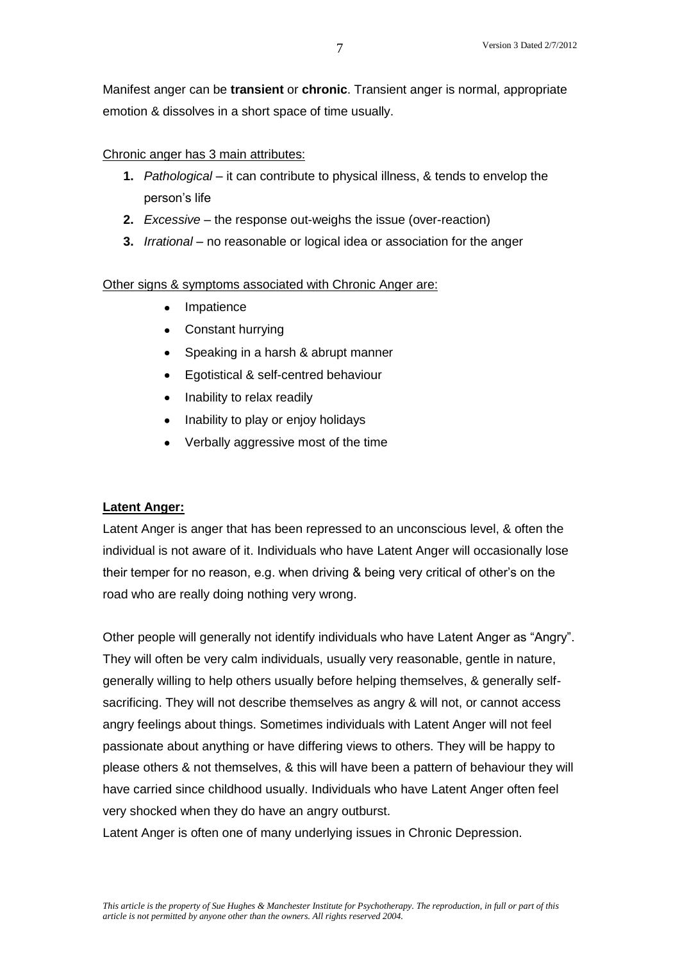Manifest anger can be **transient** or **chronic**. Transient anger is normal, appropriate emotion & dissolves in a short space of time usually.

#### Chronic anger has 3 main attributes:

- **1.** *Pathological* it can contribute to physical illness, & tends to envelop the person's life
- **2.** *Excessive* the response out-weighs the issue (over-reaction)
- **3.** *Irrational*  no reasonable or logical idea or association for the anger

#### Other signs & symptoms associated with Chronic Anger are:

- Impatience
- Constant hurrying
- Speaking in a harsh & abrupt manner
- Egotistical & self-centred behaviour
- Inability to relax readily
- Inability to play or enjoy holidays
- Verbally aggressive most of the time

# **Latent Anger:**

Latent Anger is anger that has been repressed to an unconscious level, & often the individual is not aware of it. Individuals who have Latent Anger will occasionally lose their temper for no reason, e.g. when driving & being very critical of other's on the road who are really doing nothing very wrong.

Other people will generally not identify individuals who have Latent Anger as "Angry". They will often be very calm individuals, usually very reasonable, gentle in nature, generally willing to help others usually before helping themselves, & generally selfsacrificing. They will not describe themselves as angry & will not, or cannot access angry feelings about things. Sometimes individuals with Latent Anger will not feel passionate about anything or have differing views to others. They will be happy to please others & not themselves, & this will have been a pattern of behaviour they will have carried since childhood usually. Individuals who have Latent Anger often feel very shocked when they do have an angry outburst.

Latent Anger is often one of many underlying issues in Chronic Depression.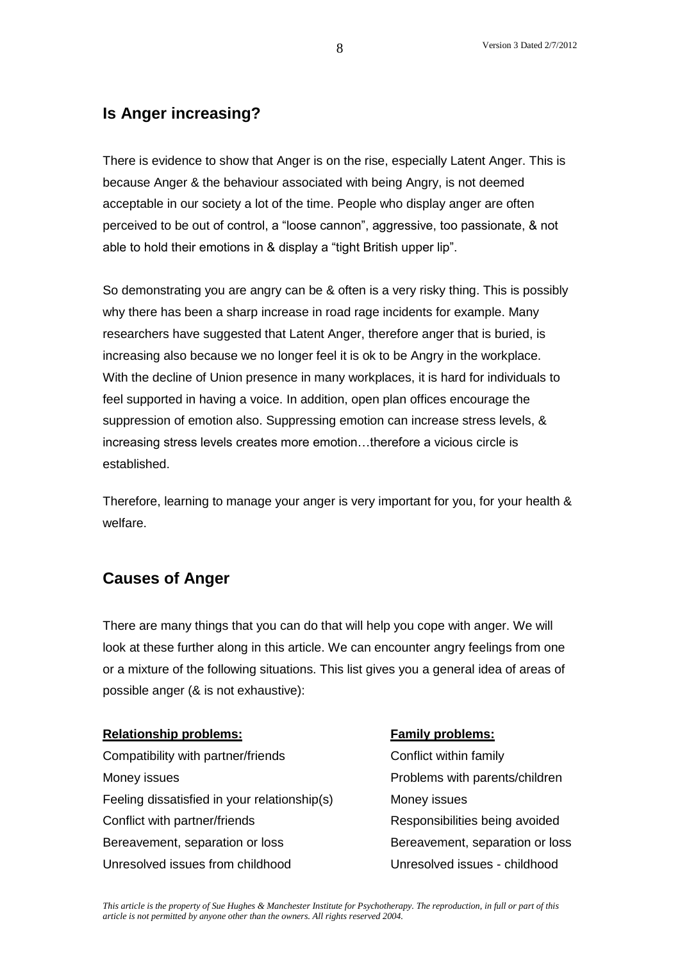# **Is Anger increasing?**

There is evidence to show that Anger is on the rise, especially Latent Anger. This is because Anger & the behaviour associated with being Angry, is not deemed acceptable in our society a lot of the time. People who display anger are often perceived to be out of control, a "loose cannon", aggressive, too passionate, & not able to hold their emotions in & display a "tight British upper lip".

So demonstrating you are angry can be & often is a very risky thing. This is possibly why there has been a sharp increase in road rage incidents for example. Many researchers have suggested that Latent Anger, therefore anger that is buried, is increasing also because we no longer feel it is ok to be Angry in the workplace. With the decline of Union presence in many workplaces, it is hard for individuals to feel supported in having a voice. In addition, open plan offices encourage the suppression of emotion also. Suppressing emotion can increase stress levels, & increasing stress levels creates more emotion…therefore a vicious circle is established.

Therefore, learning to manage your anger is very important for you, for your health & welfare.

# **Causes of Anger**

There are many things that you can do that will help you cope with anger. We will look at these further along in this article. We can encounter angry feelings from one or a mixture of the following situations. This list gives you a general idea of areas of possible anger (& is not exhaustive):

# **Relationship problems: Family problems:**

Compatibility with partner/friends Conflict within family Money issues **Notify and Struth and America** Problems with parents/children Feeling dissatisfied in your relationship(s) Money issues Conflict with partner/friends The Responsibilities being avoided Bereavement, separation or loss Bereavement, separation or loss Unresolved issues from childhood Unresolved issues - childhood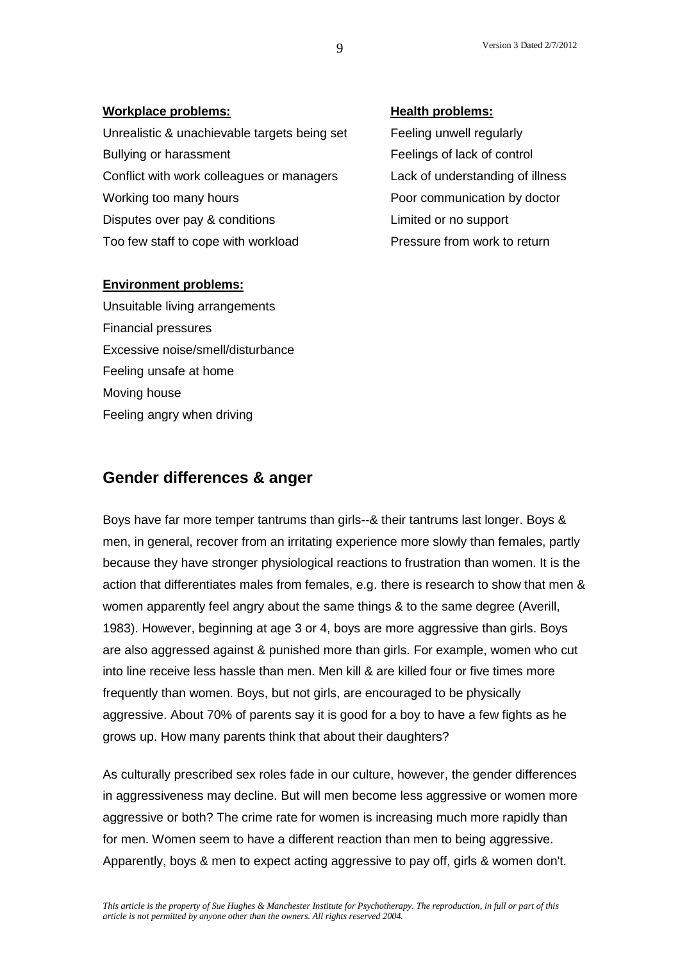| <b>Workplace problems:</b>                   | <b>Health problems:</b>        |
|----------------------------------------------|--------------------------------|
| Unrealistic & unachievable targets being set | Feeling unwell regularly       |
| Bullying or harassment                       | Feelings of lack of control    |
| Conflict with work colleagues or managers    | Lack of understanding of illne |
| Working too many hours                       | Poor communication by docto    |
| Disputes over pay & conditions               | Limited or no support          |
| Too few staff to cope with workload          | Pressure from work to return   |

#### **Environment problems:**

Unsuitable living arrangements Financial pressures Excessive noise/smell/disturbance Feeling unsafe at home Moving house Feeling angry when driving

II regularly ck of control standing of illness nication by doctor

# **Gender differences & anger**

Boys have far more temper tantrums than girls--& their tantrums last longer. Boys & men, in general, recover from an irritating experience more slowly than females, partly because they have stronger physiological reactions to frustration than women. It is the action that differentiates males from females, e.g. there is research to show that men & women apparently feel angry about the same things & to the same degree (Averill, 1983). However, beginning at age 3 or 4, boys are more aggressive than girls. Boys are also aggressed against & punished more than girls. For example, women who cut into line receive less hassle than men. Men kill & are killed four or five times more frequently than women. Boys, but not girls, are encouraged to be physically aggressive. About 70% of parents say it is good for a boy to have a few fights as he grows up. How many parents think that about their daughters?

As culturally prescribed sex roles fade in our culture, however, the gender differences in aggressiveness may decline. But will men become less aggressive or women more aggressive or both? The crime rate for women is increasing much more rapidly than for men. Women seem to have a different reaction than men to being aggressive. Apparently, boys & men to expect acting aggressive to pay off, girls & women don't.

9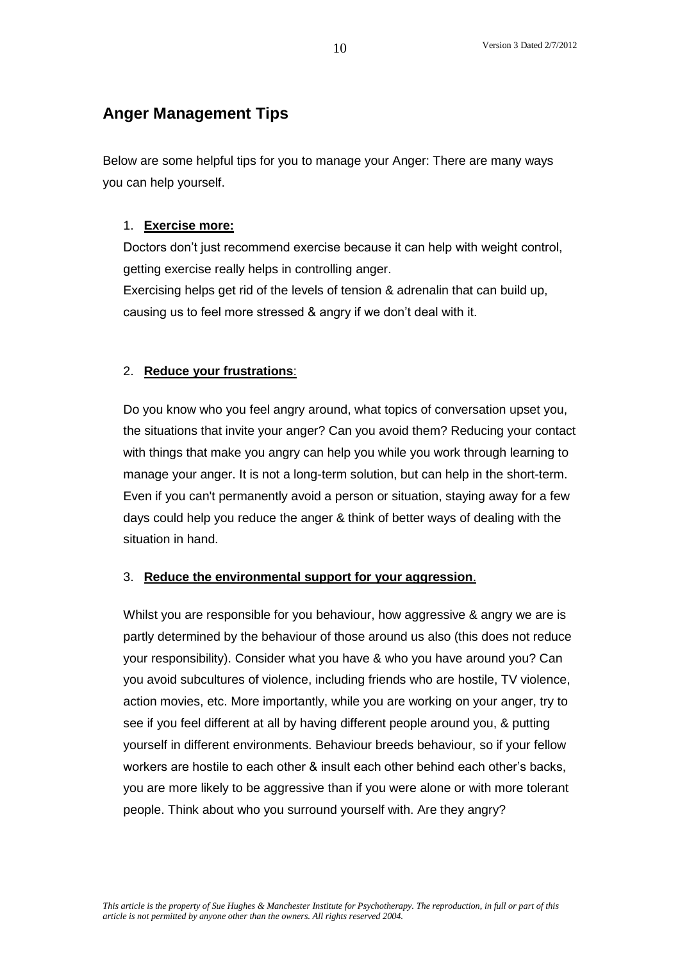# **Anger Management Tips**

Below are some helpful tips for you to manage your Anger: There are many ways you can help yourself.

# 1. **Exercise more:**

Doctors don't just recommend exercise because it can help with weight control, getting exercise really helps in controlling anger.

Exercising helps get rid of the levels of tension & adrenalin that can build up, causing us to feel more stressed & angry if we don't deal with it.

### 2. **Reduce your frustrations**:

Do you know who you feel angry around, what topics of conversation upset you, the situations that invite your anger? Can you avoid them? Reducing your contact with things that make you angry can help you while you work through learning to manage your anger. It is not a long-term solution, but can help in the short-term. Even if you can't permanently avoid a person or situation, staying away for a few days could help you reduce the anger & think of better ways of dealing with the situation in hand.

# 3. **Reduce the environmental support for your aggression**.

Whilst you are responsible for you behaviour, how aggressive & angry we are is partly determined by the behaviour of those around us also (this does not reduce your responsibility). Consider what you have & who you have around you? Can you avoid subcultures of violence, including friends who are hostile, TV violence, action movies, etc. More importantly, while you are working on your anger, try to see if you feel different at all by having different people around you, & putting yourself in different environments. Behaviour breeds behaviour, so if your fellow workers are hostile to each other & insult each other behind each other's backs, you are more likely to be aggressive than if you were alone or with more tolerant people. Think about who you surround yourself with. Are they angry?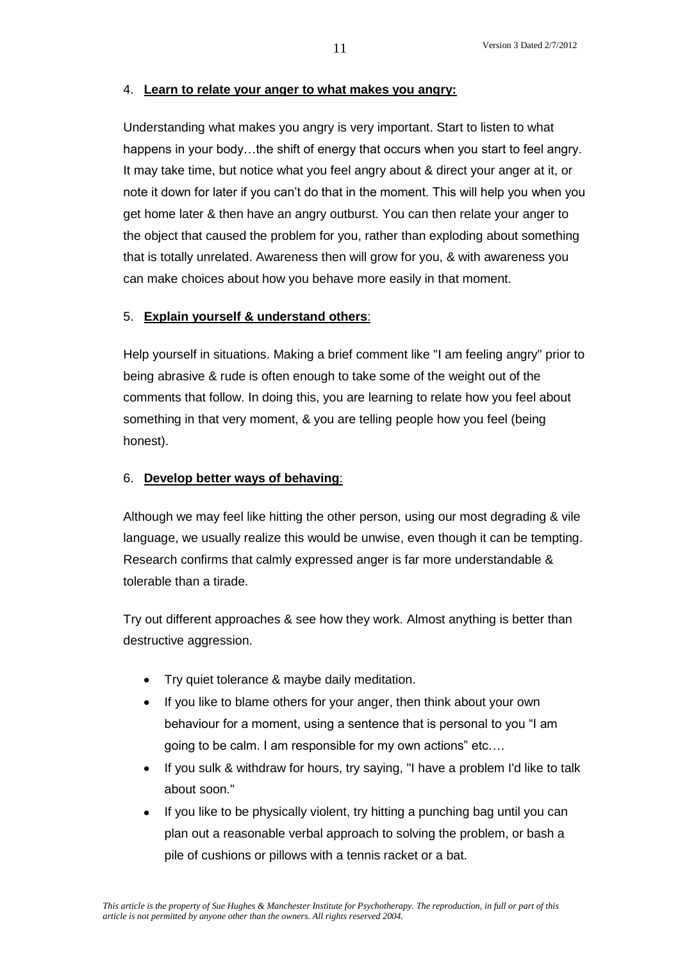# 4. **Learn to relate your anger to what makes you angry:**

Understanding what makes you angry is very important. Start to listen to what happens in your body...the shift of energy that occurs when you start to feel angry. It may take time, but notice what you feel angry about & direct your anger at it, or note it down for later if you can't do that in the moment. This will help you when you get home later & then have an angry outburst. You can then relate your anger to the object that caused the problem for you, rather than exploding about something that is totally unrelated. Awareness then will grow for you, & with awareness you can make choices about how you behave more easily in that moment.

# 5. **Explain yourself & understand others**:

Help yourself in situations. Making a brief comment like "I am feeling angry" prior to being abrasive & rude is often enough to take some of the weight out of the comments that follow. In doing this, you are learning to relate how you feel about something in that very moment, & you are telling people how you feel (being honest).

### 6. **Develop better ways of behaving**:

Although we may feel like hitting the other person, using our most degrading & vile language, we usually realize this would be unwise, even though it can be tempting. Research confirms that calmly expressed anger is far more understandable & tolerable than a tirade.

Try out different approaches & see how they work. Almost anything is better than destructive aggression.

- Try quiet tolerance & maybe daily meditation.
- If you like to blame others for your anger, then think about your own behaviour for a moment, using a sentence that is personal to you "I am going to be calm. I am responsible for my own actions" etc….
- If you sulk & withdraw for hours, try saying, "I have a problem I'd like to talk about soon."
- If you like to be physically violent, try hitting a punching bag until you can plan out a reasonable verbal approach to solving the problem, or bash a pile of cushions or pillows with a tennis racket or a bat.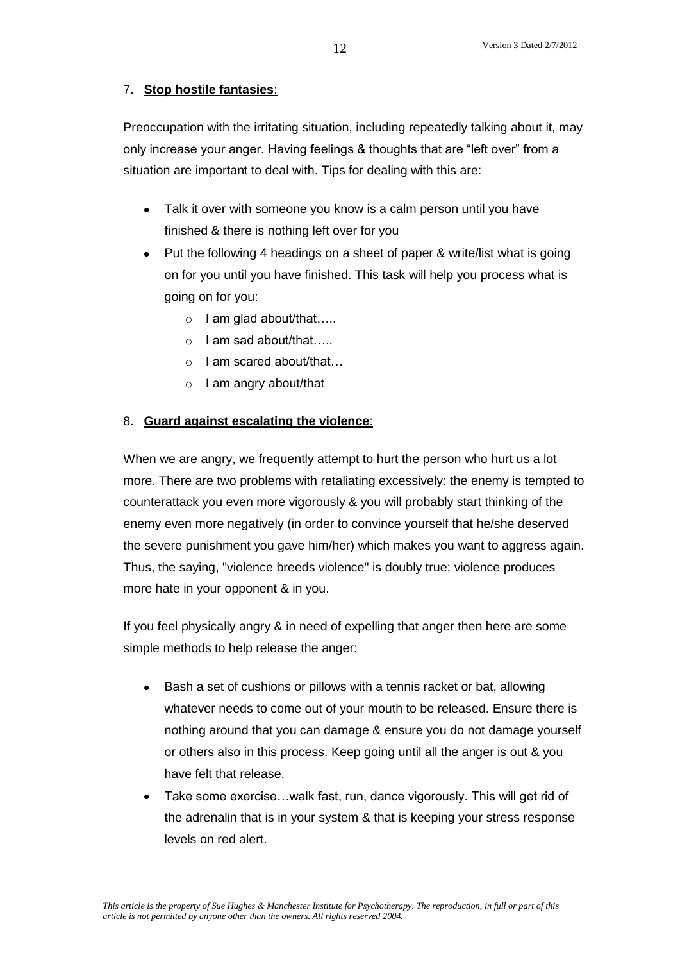# 7. **Stop hostile fantasies**:

Preoccupation with the irritating situation, including repeatedly talking about it, may only increase your anger. Having feelings & thoughts that are "left over" from a situation are important to deal with. Tips for dealing with this are:

- Talk it over with someone you know is a calm person until you have finished & there is nothing left over for you
- Put the following 4 headings on a sheet of paper & write/list what is going on for you until you have finished. This task will help you process what is going on for you:
	- o I am glad about/that…..
	- o I am sad about/that…..
	- o I am scared about/that…
	- o I am angry about/that

# 8. **Guard against escalating the violence**:

When we are angry, we frequently attempt to hurt the person who hurt us a lot more. There are two problems with retaliating excessively: the enemy is tempted to counterattack you even more vigorously & you will probably start thinking of the enemy even more negatively (in order to convince yourself that he/she deserved the severe punishment you gave him/her) which makes you want to aggress again. Thus, the saying, "violence breeds violence" is doubly true; violence produces more hate in your opponent & in you.

If you feel physically angry & in need of expelling that anger then here are some simple methods to help release the anger:

- Bash a set of cushions or pillows with a tennis racket or bat, allowing whatever needs to come out of your mouth to be released. Ensure there is nothing around that you can damage & ensure you do not damage yourself or others also in this process. Keep going until all the anger is out & you have felt that release.
- Take some exercise…walk fast, run, dance vigorously. This will get rid of the adrenalin that is in your system & that is keeping your stress response levels on red alert.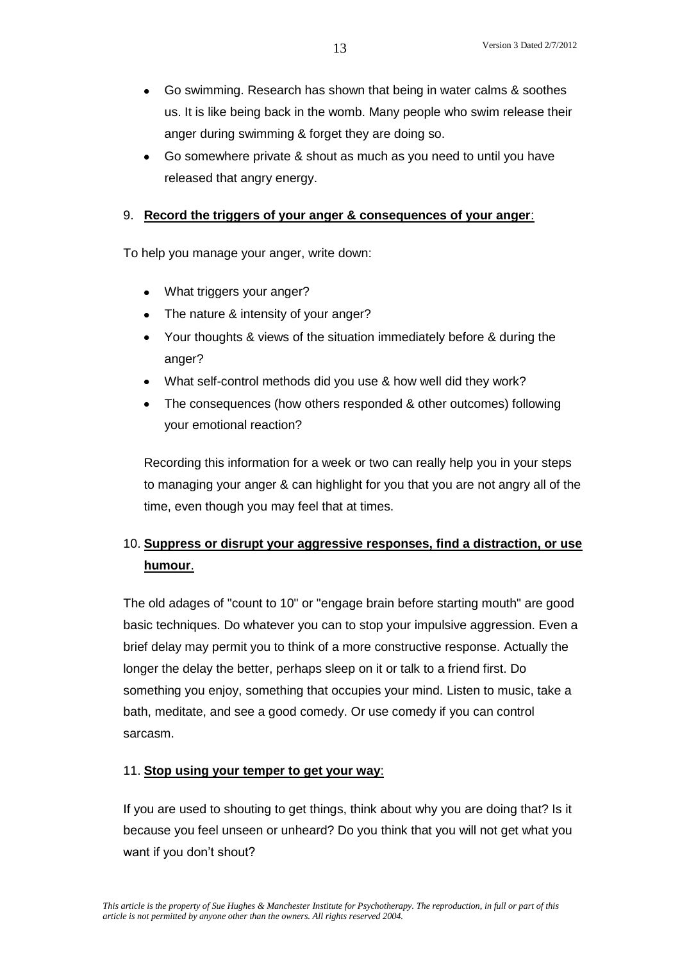- Go swimming. Research has shown that being in water calms & soothes us. It is like being back in the womb. Many people who swim release their anger during swimming & forget they are doing so.
- Go somewhere private & shout as much as you need to until you have released that angry energy.

#### 9. **Record the triggers of your anger & consequences of your anger**:

To help you manage your anger, write down:

- What triggers your anger?
- The nature & intensity of your anger?
- Your thoughts & views of the situation immediately before & during the anger?
- What self-control methods did you use & how well did they work?
- The consequences (how others responded & other outcomes) following your emotional reaction?

Recording this information for a week or two can really help you in your steps to managing your anger & can highlight for you that you are not angry all of the time, even though you may feel that at times.

# 10. **Suppress or disrupt your aggressive responses, find a distraction, or use humour**.

The old adages of "count to 10" or "engage brain before starting mouth" are good basic techniques. Do whatever you can to stop your impulsive aggression. Even a brief delay may permit you to think of a more constructive response. Actually the longer the delay the better, perhaps sleep on it or talk to a friend first. Do something you enjoy, something that occupies your mind. Listen to music, take a bath, meditate, and see a good comedy. Or use comedy if you can control sarcasm.

# 11. **Stop using your temper to get your way**:

If you are used to shouting to get things, think about why you are doing that? Is it because you feel unseen or unheard? Do you think that you will not get what you want if you don't shout?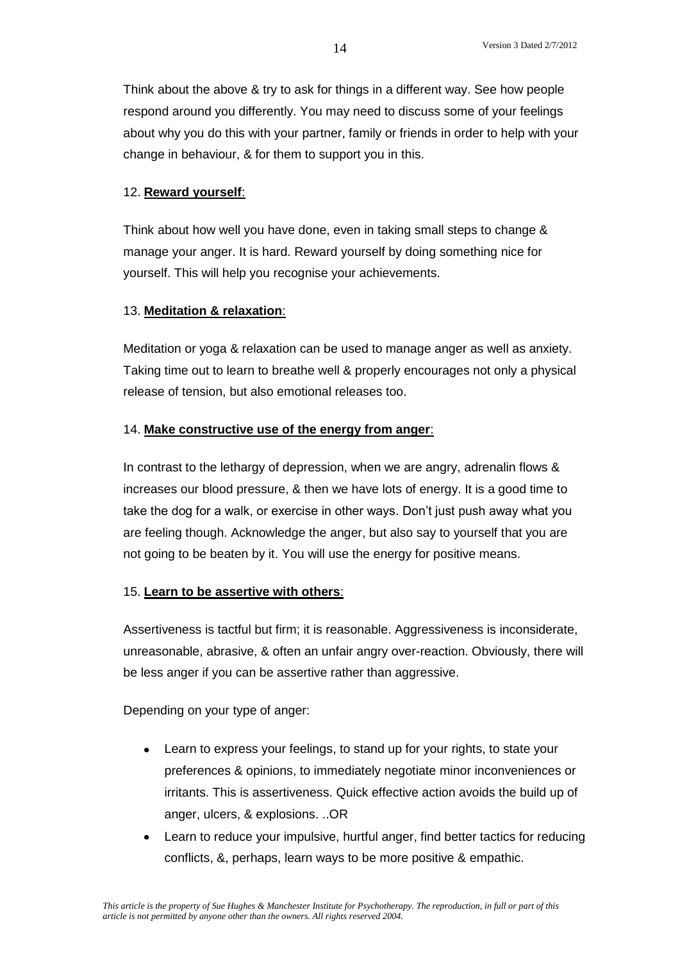Think about the above & try to ask for things in a different way. See how people respond around you differently. You may need to discuss some of your feelings about why you do this with your partner, family or friends in order to help with your change in behaviour, & for them to support you in this.

### 12. **Reward yourself**:

Think about how well you have done, even in taking small steps to change & manage your anger. It is hard. Reward yourself by doing something nice for yourself. This will help you recognise your achievements.

#### 13. **Meditation & relaxation**:

Meditation or yoga & relaxation can be used to manage anger as well as anxiety. Taking time out to learn to breathe well & properly encourages not only a physical release of tension, but also emotional releases too.

### 14. **Make constructive use of the energy from anger**:

In contrast to the lethargy of depression, when we are angry, adrenalin flows & increases our blood pressure, & then we have lots of energy. It is a good time to take the dog for a walk, or exercise in other ways. Don't just push away what you are feeling though. Acknowledge the anger, but also say to yourself that you are not going to be beaten by it. You will use the energy for positive means.

#### 15. **Learn to be assertive with others**:

Assertiveness is tactful but firm; it is reasonable. Aggressiveness is inconsiderate, unreasonable, abrasive, & often an unfair angry over-reaction. Obviously, there will be less anger if you can be assertive rather than aggressive.

Depending on your type of anger:

- Learn to express your feelings, to stand up for your rights, to state your preferences & opinions, to immediately negotiate minor inconveniences or irritants. This is assertiveness. Quick effective action avoids the build up of anger, ulcers, & explosions. ..OR
- Learn to reduce your impulsive, hurtful anger, find better tactics for reducing conflicts, &, perhaps, learn ways to be more positive & empathic.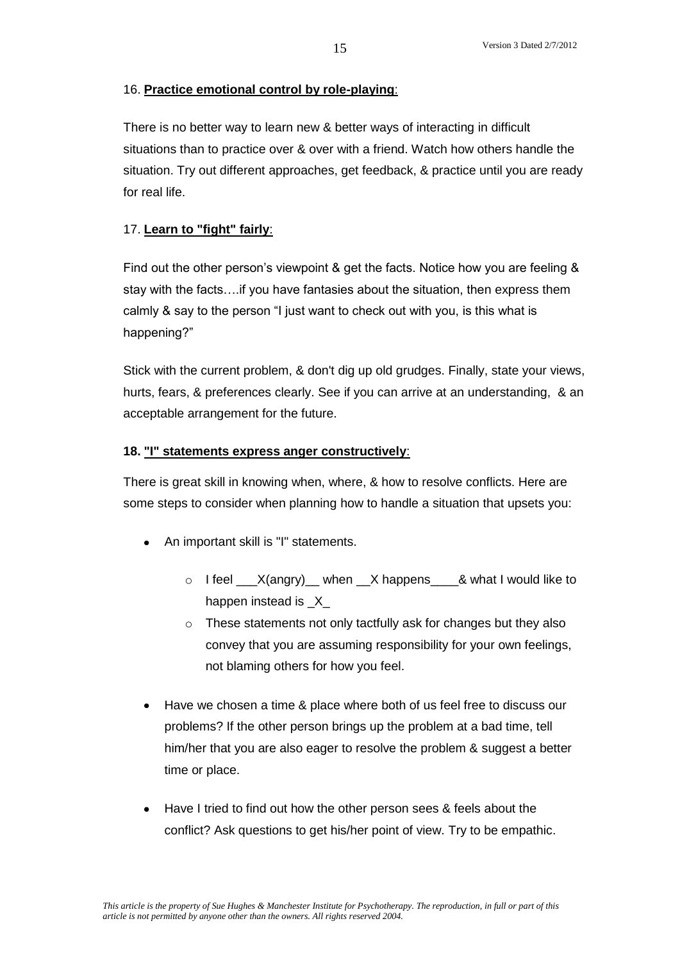# 16. **Practice emotional control by role-playing**:

There is no better way to learn new & better ways of interacting in difficult situations than to practice over & over with a friend. Watch how others handle the situation. Try out different approaches, get feedback, & practice until you are ready for real life.

# 17. **Learn to "fight" fairly**:

Find out the other person's viewpoint & get the facts. Notice how you are feeling & stay with the facts….if you have fantasies about the situation, then express them calmly & say to the person "I just want to check out with you, is this what is happening?"

Stick with the current problem, & don't dig up old grudges. Finally, state your views, hurts, fears, & preferences clearly. See if you can arrive at an understanding, & an acceptable arrangement for the future.

# **18. "I" statements express anger constructively**:

There is great skill in knowing when, where, & how to resolve conflicts. Here are some steps to consider when planning how to handle a situation that upsets you:

- An important skill is "I" statements.
	- $\circ$  I feel  $\quad$  X(angry) when X happens & what I would like to happen instead is X
	- o These statements not only tactfully ask for changes but they also convey that you are assuming responsibility for your own feelings, not blaming others for how you feel.
- Have we chosen a time & place where both of us feel free to discuss our problems? If the other person brings up the problem at a bad time, tell him/her that you are also eager to resolve the problem & suggest a better time or place.
- Have I tried to find out how the other person sees & feels about the conflict? Ask questions to get his/her point of view. Try to be empathic.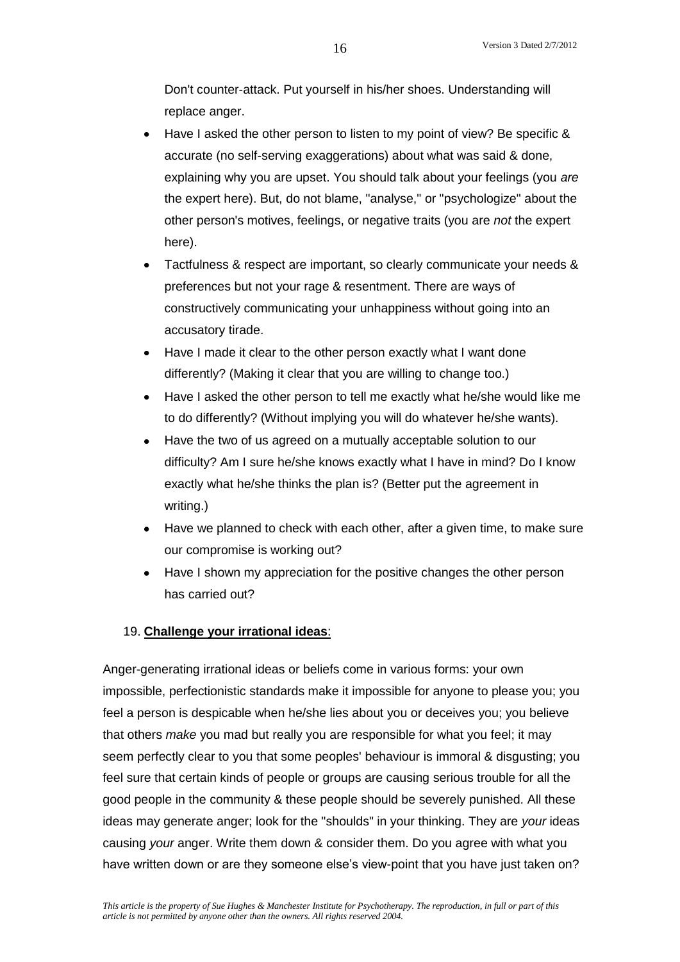Don't counter-attack. Put yourself in his/her shoes. Understanding will replace anger.

- Have I asked the other person to listen to my point of view? Be specific & accurate (no self-serving exaggerations) about what was said & done, explaining why you are upset. You should talk about your feelings (you *are* the expert here). But, do not blame, "analyse," or "psychologize" about the other person's motives, feelings, or negative traits (you are *not* the expert here).
- Tactfulness & respect are important, so clearly communicate your needs & preferences but not your rage & resentment. There are ways of constructively communicating your unhappiness without going into an accusatory tirade.
- Have I made it clear to the other person exactly what I want done differently? (Making it clear that you are willing to change too.)
- Have I asked the other person to tell me exactly what he/she would like me to do differently? (Without implying you will do whatever he/she wants).
- Have the two of us agreed on a mutually acceptable solution to our difficulty? Am I sure he/she knows exactly what I have in mind? Do I know exactly what he/she thinks the plan is? (Better put the agreement in writing.)
- Have we planned to check with each other, after a given time, to make sure our compromise is working out?
- Have I shown my appreciation for the positive changes the other person has carried out?

# 19. **Challenge your irrational ideas**:

Anger-generating irrational ideas or beliefs come in various forms: your own impossible, perfectionistic standards make it impossible for anyone to please you; you feel a person is despicable when he/she lies about you or deceives you; you believe that others *make* you mad but really you are responsible for what you feel; it may seem perfectly clear to you that some peoples' behaviour is immoral & disgusting; you feel sure that certain kinds of people or groups are causing serious trouble for all the good people in the community & these people should be severely punished. All these ideas may generate anger; look for the "shoulds" in your thinking. They are *your* ideas causing *your* anger. Write them down & consider them. Do you agree with what you have written down or are they someone else's view-point that you have just taken on?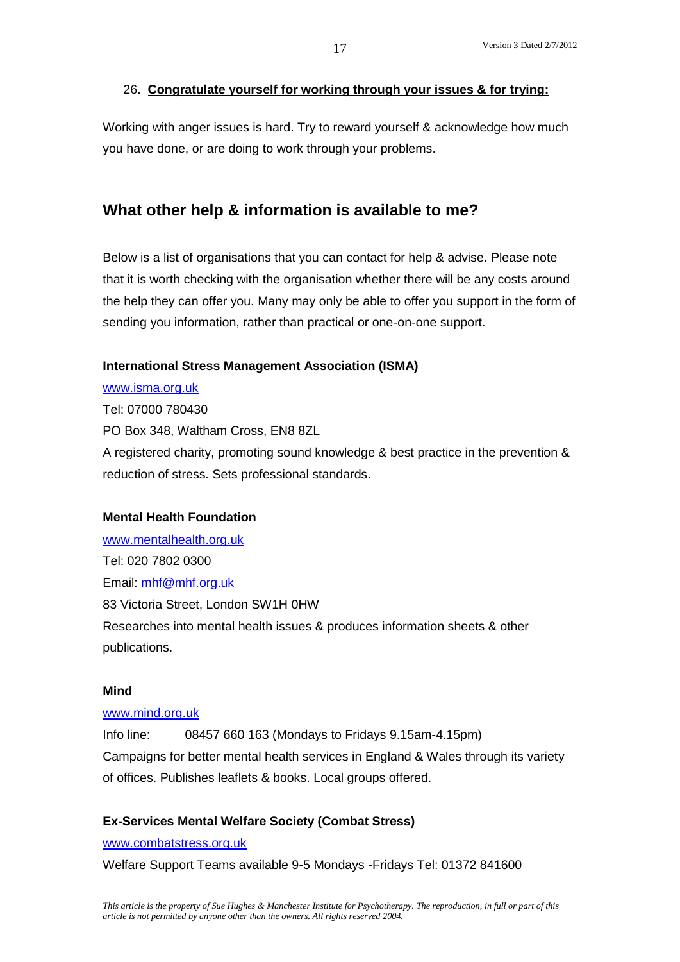# 26. **Congratulate yourself for working through your issues & for trying:**

Working with anger issues is hard. Try to reward yourself & acknowledge how much you have done, or are doing to work through your problems.

# **What other help & information is available to me?**

Below is a list of organisations that you can contact for help & advise. Please note that it is worth checking with the organisation whether there will be any costs around the help they can offer you. Many may only be able to offer you support in the form of sending you information, rather than practical or one-on-one support.

#### **International Stress Management Association (ISMA)**

[www.isma.org.uk](http://www.isma.org.uk/) Tel: 07000 780430 PO Box 348, Waltham Cross, EN8 8ZL A registered charity, promoting sound knowledge & best practice in the prevention & reduction of stress. Sets professional standards.

### **Mental Health Foundation**

[www.mentalhealth.org.uk](http://www.mentalhealth.org.uk/) Tel: 020 7802 0300 Email: [mhf@mhf.org.uk](mailto:mhf@mhf.org.uk) 83 Victoria Street, London SW1H 0HW Researches into mental health issues & produces information sheets & other publications.

#### **Mind**

#### [www.mind.org.uk](http://www.mind.org.uk/)

Info line: 08457 660 163 (Mondays to Fridays 9.15am-4.15pm) Campaigns for better mental health services in England & Wales through its variety of offices. Publishes leaflets & books. Local groups offered.

#### **Ex-Services Mental Welfare Society (Combat Stress)**

[www.combatstress.org.uk](http://www.combatstress.org.uk/)

Welfare Support Teams available 9-5 Mondays -Fridays Tel: 01372 841600